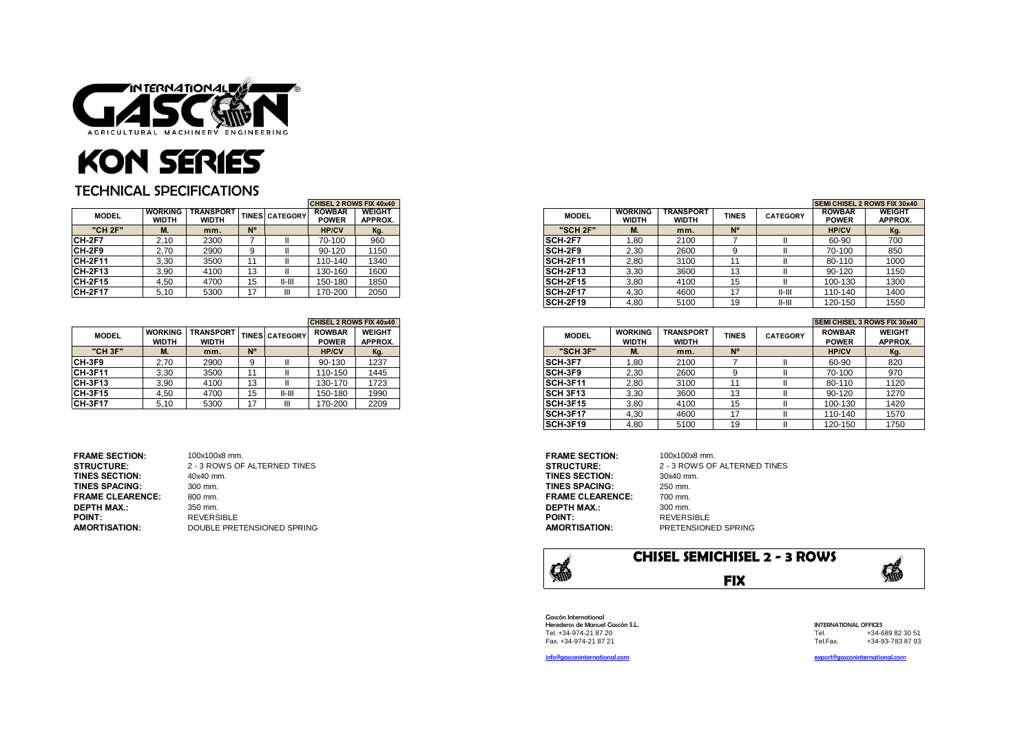

## KON SERIES

## TECHNICAL SPECIFICATIONS

|                | <b>ICHISEL 2 ROWS FIX 40x40</b> |                                  |             |                       |                               |                          |
|----------------|---------------------------------|----------------------------------|-------------|-----------------------|-------------------------------|--------------------------|
| <b>MODEL</b>   | <b>WORKING</b><br><b>WIDTH</b>  | <b>TRANSPORT</b><br><b>WIDTH</b> |             | <b>TINES CATEGORY</b> | <b>ROWBAR</b><br><b>POWER</b> | <b>WEIGHT</b><br>APPROX. |
| "CH 2F"        | IVI.                            | mm.                              | $N^{\circ}$ |                       | <b>HP/CV</b>                  | Kg.                      |
| CH-2F7         | 2,10                            | 2300                             |             |                       | 70-100                        | 960                      |
| CH-2F9         | 2,70                            | 2900                             |             |                       | 90-120                        | 1150                     |
| <b>CH-2F11</b> | 3,30                            | 3500                             | 1           |                       | 110-140                       | 1340                     |
| CH-2F13        | 3,90                            | 4100                             | 13          |                       | 130-160                       | 1600                     |
| CH-2F15        | 4.50                            | 4700                             | 15          | $II-III$              | 150-180                       | 1850                     |
| <b>CH-2F17</b> | 5,10                            | 5300                             | 17          | Ш                     | 170-200                       | 2050                     |

|                |                                |                                  |    |                       | CHISEL 2 ROWS FIX 40x40       |                          |
|----------------|--------------------------------|----------------------------------|----|-----------------------|-------------------------------|--------------------------|
| <b>MODEL</b>   | <b>WORKING</b><br><b>WIDTH</b> | <b>TRANSPORT</b><br><b>WIDTH</b> |    | <b>TINES CATEGORY</b> | <b>ROWBAR</b><br><b>POWER</b> | <b>WEIGHT</b><br>APPROX. |
| "CH 3F"        | M.                             | mm.                              | N° |                       | <b>HP/CV</b>                  | Kg.                      |
| CH-3F9         | 2.70                           | 2900                             | 9  |                       | 90-130                        | 1237                     |
| CH-3F11        | 3,30                           | 3500                             | 11 |                       | 110-150                       | 1445                     |
| CH-3F13        | 3.90                           | 4100                             | 13 |                       | 130-170                       | 1723                     |
| CH-3F15        | 4.50                           | 4700                             | 15 | $II-III$              | 150-180                       | 1990                     |
| <b>CH-3F17</b> | 5.10                           | 5300                             | 17 | Ш                     | 170-200                       | 2209                     |

| <b>FRAME SECTION:</b>   | 100x100x8 mm.                | <b>FRAME SECTION:</b>   | 100x100x8 mm.                |
|-------------------------|------------------------------|-------------------------|------------------------------|
| <b>STRUCTURE:</b>       | 2 - 3 ROWS OF ALTERNED TINES | <b>STRUCTURE:</b>       | 2 - 3 ROWS OF ALTERNED TINES |
| <b>TINES SECTION:</b>   | 40x40 mm.                    | <b>TINES SECTION:</b>   | 30x40 mm.                    |
| <b>TINES SPACING:</b>   | 300 mm.                      | <b>TINES SPACING:</b>   | 250 mm.                      |
| <b>FRAME CLEARENCE:</b> | 800 mm.                      | <b>FRAME CLEARENCE:</b> | 700 mm.                      |
| DEPTH MAX.:             | 350 mm.                      | <b>DEPTH MAX.:</b>      | 300 mm.                      |
| <b>POINT:</b>           | <b>REVERSIBLE</b>            | <b>POINT:</b>           | <b>REVERSIBLE</b>            |
| <b>AMORTISATION:</b>    | DOUBLE PRETENSIONED SPRING   | <b>AMORTISATION:</b>    | PRETENSIONED SPRING          |

|                | <b>CHISEL 2 ROWS FIX 40x40</b> |                                  |             |                       |                               |                          |                 |                                |                                  | <b>SEMI CHISEL 2 ROWS FIX 30x40</b> |                 |                               |                          |
|----------------|--------------------------------|----------------------------------|-------------|-----------------------|-------------------------------|--------------------------|-----------------|--------------------------------|----------------------------------|-------------------------------------|-----------------|-------------------------------|--------------------------|
| <b>MODEL</b>   | <b>WORKING</b><br><b>WIDTH</b> | <b>TRANSPORT</b><br><b>WIDTH</b> |             | <b>TINES CATEGORY</b> | <b>ROWBAR</b><br><b>POWER</b> | <b>WEIGHT</b><br>APPROX. | <b>MODEL</b>    | <b>WORKING</b><br><b>WIDTH</b> | <b>TRANSPORT</b><br><b>WIDTH</b> | <b>TINES</b>                        | <b>CATEGORY</b> | <b>ROWBAR</b><br><b>POWER</b> | <b>WEIGHT</b><br>APPROX. |
| "CH 2F"        | М.                             | mm.                              | $N^{\circ}$ |                       | <b>HP/CV</b>                  | Kg.                      | "SCH 2F"        | ш.                             | mm.                              | N°                                  |                 | <b>HP/CV</b>                  | Kg.                      |
| CH-2F7         | 2.10                           | 2300                             |             |                       | 70-100                        | 960                      | <b>SCH-2F7</b>  | 1.80                           | 2100                             |                                     |                 | 60-90                         | 700                      |
| CH-2F9         | 2.70                           | 2900                             |             |                       | 90-120                        | 1150                     | <b>SCH-2F9</b>  | 2.30                           | 2600                             |                                     |                 | 70-100                        | 850                      |
| CH-2F11        | 3,30                           | 3500                             |             |                       | 110-140                       | 1340                     | <b>SCH-2F11</b> | 2,80                           | 3100                             |                                     |                 | 80-110                        | 1000                     |
| <b>CH-2F13</b> | 3,90                           | 4100                             |             |                       | 130-160                       | 1600                     | <b>SCH-2F13</b> | 3,30                           | 3600                             | 13                                  |                 | 90-120                        | 1150                     |
| <b>CH-2F15</b> | 4.50                           | 4700                             |             | II-III                | 150-180                       | 1850                     | <b>SCH-2F15</b> | 3,80                           | 4100                             | 15                                  |                 | 100-130                       | 1300                     |
| CH-2F17        | 5,10                           | 5300                             |             |                       | 170-200                       | 2050                     | <b>SCH-2F17</b> | 4,30                           | 4600                             |                                     | $II-III$        | 110-140                       | 1400                     |
|                |                                |                                  |             |                       |                               |                          | <b>SCH-2F19</b> | 4,80                           | 5100                             | 19                                  | 11-111          | 120-150                       | 1550                     |

|                | <b>CHISEL 2 ROWS FIX 40x40</b> |                                  |             |                       |                               |                          |                  |      |                                |                                  | <b>SEMI CHISEL 3 ROWS FIX 30x40</b> |                 |                               |                          |
|----------------|--------------------------------|----------------------------------|-------------|-----------------------|-------------------------------|--------------------------|------------------|------|--------------------------------|----------------------------------|-------------------------------------|-----------------|-------------------------------|--------------------------|
| <b>MODEL</b>   | <b>WORKING</b><br><b>WIDTH</b> | <b>TRANSPORT</b><br><b>WIDTH</b> |             | <b>TINES</b> CATEGORY | <b>ROWBAR</b><br><b>POWER</b> | <b>WEIGHT</b><br>APPROX. | <b>MODEL</b>     |      | <b>WORKING</b><br><b>WIDTH</b> | <b>TRANSPORT</b><br><b>WIDTH</b> | <b>TINES</b>                        | <b>CATEGORY</b> | <b>ROWBAR</b><br><b>POWER</b> | <b>WEIGHT</b><br>APPROX. |
| "CH 3F"        | М.                             | mm.                              | $N^{\circ}$ |                       | <b>HP/CV</b>                  | Kg.                      | "SCH 3F"         |      | IVI.                           | mm.                              |                                     |                 | <b>HP/CV</b>                  | Kg.                      |
| CH-3F9         | 2.70                           | 2900                             |             |                       | 90-130                        | 1237                     | <b>SCH-3F7</b>   |      | 1.80                           | 2100                             |                                     |                 | 60-90                         | 820                      |
| CH-3F11        | 3.30                           | 3500                             |             |                       | 110-150                       | 1445                     | <b>SCH-3F9</b>   | 2.30 |                                | 2600                             |                                     |                 | 70-100                        | 970                      |
| CH-3F13        | 3.90                           | 4100                             | 13          |                       | 130-170                       | 1723                     | <b>ISCH-3F11</b> |      | 2.80                           | 3100                             |                                     |                 | 80-110                        | 1120                     |
| <b>CH-3F15</b> | 4,50                           | 4700                             | 15          | 11-III                | 150-180                       | 1990                     | <b>SCH 3F13</b>  |      | 3,30                           | 3600                             | 13                                  |                 | 90-120                        | 1270                     |
| <b>CH-3F17</b> | 5.10                           | 5300                             |             |                       | 170-200                       | 2209                     | SCH-3F15         | 3,80 |                                | 4100                             | 15                                  |                 | 100-130                       | 1420                     |
|                |                                |                                  |             |                       |                               |                          | <b>SCH-3F17</b>  |      | 4.30                           | 4600                             |                                     |                 | 110-140                       | 1570                     |
|                |                                |                                  |             |                       |                               |                          | <b>ISCH-3F19</b> |      | 4.80                           | 5100                             | 19                                  |                 | 120-150                       | 1750                     |

| <b>FRAME SECTION:</b>   | 100x100x8 mm.               |
|-------------------------|-----------------------------|
| <b>STRUCTURE:</b>       | 2 - 3 ROWS OF ALTERNED TINE |
| <b>TINES SECTION:</b>   | 30x40 mm.                   |
| TINES SPACING:          | 250 mm.                     |
| <b>FRAME CLEARENCE:</b> | 700 mm.                     |
| DEPTH MAX.:             | 300 mm.                     |
| <b>POINT:</b>           | <b>REVERSIBLE</b>           |
| AMORTISATION:           | PRETENSIONED SPRING         |



Gascón International Fax. +34-974-21 87 21

Herederos de Manuel Gascón S.L. INTERNATIONAL OFFICES Tel. +34-974-21 87 20 Tel. +34-689 82 30 51

[info@gasconinternational.com](mailto:info@gasconinternational.com) [export@gasconinternational.com](mailto:export@hmgascon.com)